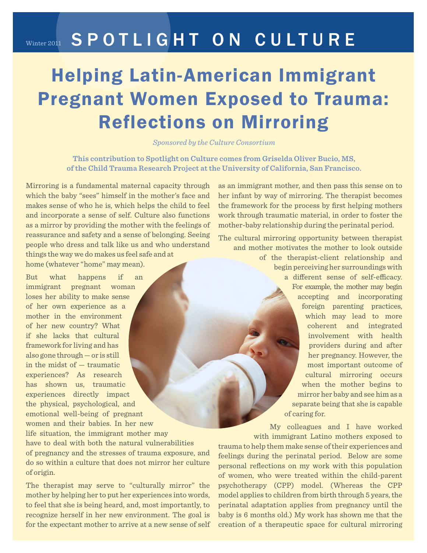## Winter 2011 SPOTLIGHT ON CULTURE

## Helping Latin-American Immigrant Pregnant Women Exposed to Trauma: Reflections on Mirroring

*Sponsored by the Culture Consortium*

**This contribution to Spotlight on Culture comes from Griselda Oliver Bucio, MS, of the Child Trauma Research Project at the University of California, San Francisco.**

Mirroring is a fundamental maternal capacity through which the baby "sees" himself in the mother's face and makes sense of who he is, which helps the child to feel and incorporate a sense of self. Culture also functions as a mirror by providing the mother with the feelings of reassurance and safety and a sense of belonging. Seeing people who dress and talk like us and who understand things the way we do makes us feel safe and at home (whatever "home" may mean).

But what happens if an immigrant pregnant woman loses her ability to make sense of her own experience as a mother in the environment of her new country? What if she lacks that cultural framework for living and has also gone through — or is still in the midst of — traumatic experiences? As research has shown us, traumatic experiences directly impact the physical, psychological, and emotional well-being of pregnant women and their babies. In her new life situation, the immigrant mother may have to deal with both the natural vulnerabilities of pregnancy and the stresses of trauma exposure, and do so within a culture that does not mirror her culture of origin.

The therapist may serve to "culturally mirror" the mother by helping her to put her experiences into words, to feel that she is being heard, and, most importantly, to recognize herself in her new environment. The goal is for the expectant mother to arrive at a new sense of self as an immigrant mother, and then pass this sense on to her infant by way of mirroring. The therapist becomes the framework for the process by first helping mothers work through traumatic material, in order to foster the mother-baby relationship during the perinatal period.

The cultural mirroring opportunity between therapist and mother motivates the mother to look outside of the therapist-client relationship and begin perceiving her surroundings with a different sense of self-efficacy. For example, the mother may begin accepting and incorporating foreign parenting practices, which may lead to more coherent and integrated involvement with health providers during and after her pregnancy. However, the most important outcome of cultural mirroring occurs when the mother begins to mirror her baby and see him as a separate being that she is capable of caring for.

My colleagues and I have worked with immigrant Latino mothers exposed to trauma to help them make sense of their experiences and feelings during the perinatal period. Below are some personal reflections on my work with this population of women, who were treated within the child-parent psychotherapy (CPP) model. (Whereas the CPP model applies to children from birth through 5 years, the perinatal adaptation applies from pregnancy until the baby is 6 months old.) My work has shown me that the creation of a therapeutic space for cultural mirroring